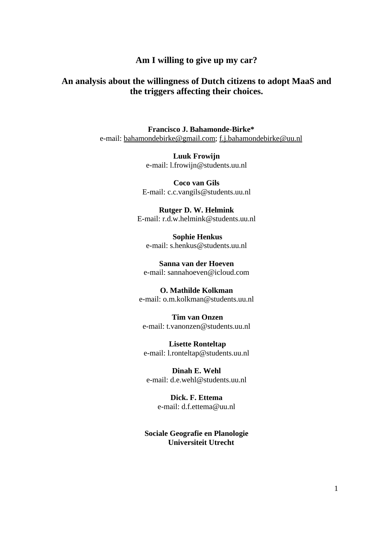## **Am I willing to give up my car?**

# **An analysis about the willingness of Dutch citizens to adopt MaaS and the triggers affecting their choices.**

**Francisco J. Bahamonde-Birke\*** e-mail: bahamondebirke@gmail.com; f.j.bahamondebirke@uu.nl

> **Luuk Frowijn** e-mail: l.frowijn@students.uu.nl

**Coco van Gils** E-mail: c.c.vangils@students.uu.nl

**Rutger D. W. Helmink**  E-mail: r.d.w.helmink@students.uu.nl

**Sophie Henkus** e-mail: s.henkus@students.uu.nl

**Sanna van der Hoeven** e-mail: sannahoeven@icloud.com

**O. Mathilde Kolkman** e-mail: o.m.kolkman@students.uu.nl

**Tim van Onzen** e-mail: t.vanonzen@students.uu.nl

**Lisette Ronteltap** e-mail: l.ronteltap@students.uu.nl

**Dinah E. Wehl** e-mail: d.e.wehl@students.uu.nl

> **Dick. F. Ettema** e-mail: d.f.ettema@uu.nl

**Sociale Geografie en Planologie Universiteit Utrecht**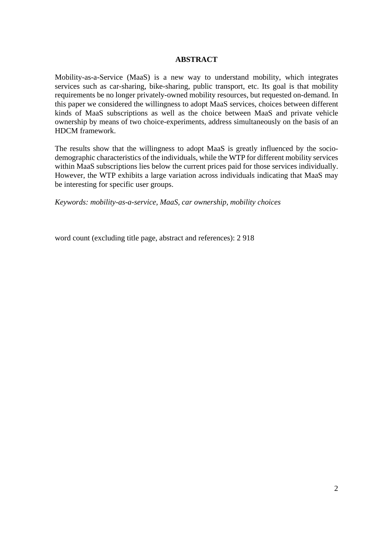### **ABSTRACT**

Mobility-as-a-Service (MaaS) is a new way to understand mobility, which integrates services such as car-sharing, bike-sharing, public transport, etc. Its goal is that mobility requirements be no longer privately-owned mobility resources, but requested on-demand. In this paper we considered the willingness to adopt MaaS services, choices between different kinds of MaaS subscriptions as well as the choice between MaaS and private vehicle ownership by means of two choice-experiments, address simultaneously on the basis of an HDCM framework.

The results show that the willingness to adopt MaaS is greatly influenced by the sociodemographic characteristics of the individuals, while the WTP for different mobility services within MaaS subscriptions lies below the current prices paid for those services individually. However, the WTP exhibits a large variation across individuals indicating that MaaS may be interesting for specific user groups.

*Keywords: mobility-as-a-service, MaaS, car ownership, mobility choices*

word count (excluding title page, abstract and references): 2 918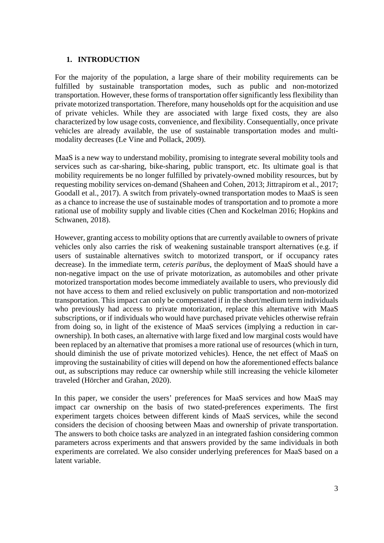### **1. INTRODUCTION**

For the majority of the population, a large share of their mobility requirements can be fulfilled by sustainable transportation modes, such as public and non-motorized transportation. However, these forms of transportation offer significantly less flexibility than private motorized transportation. Therefore, many households opt for the acquisition and use of private vehicles. While they are associated with large fixed costs, they are also characterized by low usage costs, convenience, and flexibility. Consequentially, once private vehicles are already available, the use of sustainable transportation modes and multimodality decreases (Le Vine and Pollack, 2009).

MaaS is a new way to understand mobility, promising to integrate several mobility tools and services such as car-sharing, bike-sharing, public transport, etc. Its ultimate goal is that mobility requirements be no longer fulfilled by privately-owned mobility resources, but by requesting mobility services on-demand (Shaheen and Cohen, 2013; Jittrapirom et al., 2017; Goodall et al., 2017). A switch from privately-owned transportation modes to MaaS is seen as a chance to increase the use of sustainable modes of transportation and to promote a more rational use of mobility supply and livable cities (Chen and Kockelman 2016; Hopkins and Schwanen, 2018).

However, granting access to mobility options that are currently available to owners of private vehicles only also carries the risk of weakening sustainable transport alternatives (e.g. if users of sustainable alternatives switch to motorized transport, or if occupancy rates decrease). In the immediate term, *ceteris paribus*, the deployment of MaaS should have a non-negative impact on the use of private motorization, as automobiles and other private motorized transportation modes become immediately available to users, who previously did not have access to them and relied exclusively on public transportation and non-motorized transportation. This impact can only be compensated if in the short/medium term individuals who previously had access to private motorization, replace this alternative with MaaS subscriptions, or if individuals who would have purchased private vehicles otherwise refrain from doing so, in light of the existence of MaaS services (implying a reduction in carownership). In both cases, an alternative with large fixed and low marginal costs would have been replaced by an alternative that promises a more rational use of resources (which in turn, should diminish the use of private motorized vehicles). Hence, the net effect of MaaS on improving the sustainability of cities will depend on how the aforementioned effects balance out, as subscriptions may reduce car ownership while still increasing the vehicle kilometer traveled (Hörcher and Grahan, 2020).

In this paper, we consider the users' preferences for MaaS services and how MaaS may impact car ownership on the basis of two stated-preferences experiments. The first experiment targets choices between different kinds of MaaS services, while the second considers the decision of choosing between Maas and ownership of private transportation. The answers to both choice tasks are analyzed in an integrated fashion considering common parameters across experiments and that answers provided by the same individuals in both experiments are correlated. We also consider underlying preferences for MaaS based on a latent variable.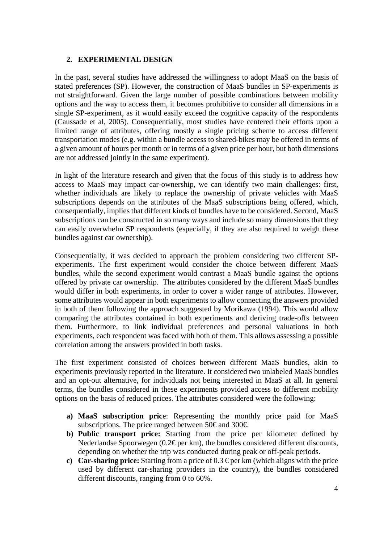## **2. EXPERIMENTAL DESIGN**

In the past, several studies have addressed the willingness to adopt MaaS on the basis of stated preferences (SP). However, the construction of MaaS bundles in SP-experiments is not straightforward. Given the large number of possible combinations between mobility options and the way to access them, it becomes prohibitive to consider all dimensions in a single SP-experiment, as it would easily exceed the cognitive capacity of the respondents (Caussade et al, 2005). Consequentially, most studies have centered their efforts upon a limited range of attributes, offering mostly a single pricing scheme to access different transportation modes (e.g. within a bundle access to shared-bikes may be offered in terms of a given amount of hours per month or in terms of a given price per hour, but both dimensions are not addressed jointly in the same experiment).

In light of the literature research and given that the focus of this study is to address how access to MaaS may impact car-ownership, we can identify two main challenges: first, whether individuals are likely to replace the ownership of private vehicles with MaaS subscriptions depends on the attributes of the MaaS subscriptions being offered, which, consequentially, implies that different kinds of bundles have to be considered. Second, MaaS subscriptions can be constructed in so many ways and include so many dimensions that they can easily overwhelm SP respondents (especially, if they are also required to weigh these bundles against car ownership).

Consequentially, it was decided to approach the problem considering two different SPexperiments. The first experiment would consider the choice between different MaaS bundles, while the second experiment would contrast a MaaS bundle against the options offered by private car ownership. The attributes considered by the different MaaS bundles would differ in both experiments, in order to cover a wider range of attributes. However, some attributes would appear in both experiments to allow connecting the answers provided in both of them following the approach suggested by Morikawa (1994). This would allow comparing the attributes contained in both experiments and deriving trade-offs between them. Furthermore, to link individual preferences and personal valuations in both experiments, each respondent was faced with both of them. This allows assessing a possible correlation among the answers provided in both tasks.

The first experiment consisted of choices between different MaaS bundles, akin to experiments previously reported in the literature. It considered two unlabeled MaaS bundles and an opt-out alternative, for individuals not being interested in MaaS at all. In general terms, the bundles considered in these experiments provided access to different mobility options on the basis of reduced prices. The attributes considered were the following:

- **a) MaaS subscription pric**e: Representing the monthly price paid for MaaS subscriptions. The price ranged between 50€ and 300€.
- **b) Public transport price:** Starting from the price per kilometer defined by Nederlandse Spoorwegen (0.2€ per km), the bundles considered different discounts, depending on whether the trip was conducted during peak or off-peak periods.
- **c) Car-sharing price:** Starting from a price of 0.3  $\epsilon$  per km (which aligns with the price used by different car-sharing providers in the country), the bundles considered different discounts, ranging from 0 to 60%.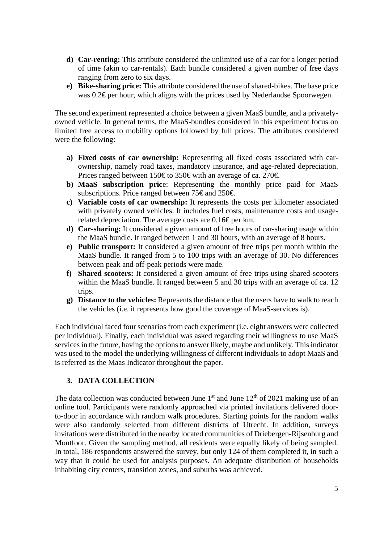- **d) Car-renting:** This attribute considered the unlimited use of a car for a longer period of time (akin to car-rentals). Each bundle considered a given number of free days ranging from zero to six days.
- **e) Bike-sharing price:** This attribute considered the use of shared-bikes. The base price was 0.2€ per hour, which aligns with the prices used by Nederlandse Spoorwegen.

The second experiment represented a choice between a given MaaS bundle, and a privatelyowned vehicle. In general terms, the MaaS-bundles considered in this experiment focus on limited free access to mobility options followed by full prices. The attributes considered were the following:

- **a) Fixed costs of car ownership:** Representing all fixed costs associated with carownership, namely road taxes, mandatory insurance, and age-related depreciation. Prices ranged between 150€ to 350€ with an average of ca. 270€.
- **b) MaaS subscription pric**e: Representing the monthly price paid for MaaS subscriptions. Price ranged between 75€ and 250€.
- **c) Variable costs of car ownership:** It represents the costs per kilometer associated with privately owned vehicles. It includes fuel costs, maintenance costs and usagerelated depreciation. The average costs are  $0.16 \epsilon$  per km.
- **d) Car-sharing:** It considered a given amount of free hours of car-sharing usage within the MaaS bundle. It ranged between 1 and 30 hours, with an average of 8 hours.
- **e) Public transport:** It considered a given amount of free trips per month within the MaaS bundle. It ranged from 5 to 100 trips with an average of 30. No differences between peak and off-peak periods were made.
- **f) Shared scooters:** It considered a given amount of free trips using shared-scooters within the MaaS bundle. It ranged between 5 and 30 trips with an average of ca. 12 trips.
- **g) Distance to the vehicles:** Represents the distance that the users have to walk to reach the vehicles (i.e. it represents how good the coverage of MaaS-services is).

Each individual faced four scenarios from each experiment (i.e. eight answers were collected per individual). Finally, each individual was asked regarding their willingness to use MaaS services in the future, having the options to answer likely, maybe and unlikely. This indicator was used to the model the underlying willingness of different individuals to adopt MaaS and is referred as the Maas Indicator throughout the paper.

## **3. DATA COLLECTION**

The data collection was conducted between June  $1<sup>st</sup>$  and June  $12<sup>th</sup>$  of 2021 making use of an online tool. Participants were randomly approached via printed invitations delivered doorto-door in accordance with random walk procedures. Starting points for the random walks were also randomly selected from different districts of Utrecht. In addition, surveys invitations were distributed in the nearby located communities of Driebergen-Rijsenburg and Montfoor. Given the sampling method, all residents were equally likely of being sampled. In total, 186 respondents answered the survey, but only 124 of them completed it, in such a way that it could be used for analysis purposes. An adequate distribution of households inhabiting city centers, transition zones, and suburbs was achieved.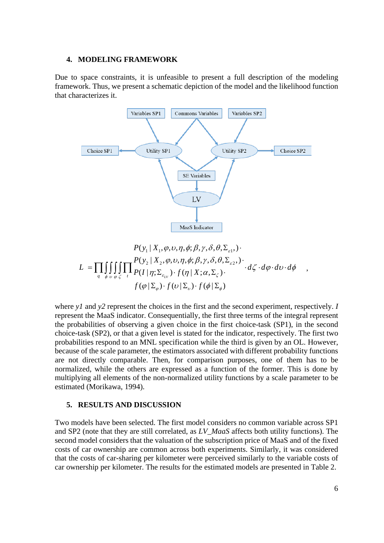#### **4. MODELING FRAMEWORK**

Due to space constraints, it is unfeasible to present a full description of the modeling framework. Thus, we present a schematic depiction of the model and the likelihood function that characterizes it.



$$
P(y_1 | X_1, \varphi, \upsilon, \eta, \phi; \beta, \gamma, \delta, \theta, \Sigma_{\varepsilon 1},)
$$
  

$$
L = \prod_q \iiint_{\phi \; \upsilon \; \varphi \; \zeta} \prod_{t} \frac{P(y_2 | X_2, \varphi, \upsilon, \eta, \phi; \beta, \gamma, \delta, \theta, \Sigma_{\varepsilon 2}, \cdot) \cdot d\zeta \cdot d\varphi \cdot d\upsilon \cdot d\phi}{f(\varphi | \Sigma_{\varphi}) \cdot f(\upsilon | \Sigma_{\upsilon}) \cdot f(\phi | \Sigma_{\phi})} \cdot d\zeta \cdot d\varphi \cdot d\upsilon \cdot d\phi ,
$$

where *y1* and *y2* represent the choices in the first and the second experiment, respectively. *I* represent the MaaS indicator. Consequentially, the first three terms of the integral represent the probabilities of observing a given choice in the first choice-task (SP1), in the second choice-task (SP2), or that a given level is stated for the indicator, respectively. The first two probabilities respond to an MNL specification while the third is given by an OL. However, because of the scale parameter, the estimators associated with different probability functions are not directly comparable. Then, for comparison purposes, one of them has to be normalized, while the others are expressed as a function of the former. This is done by multiplying all elements of the non-normalized utility functions by a scale parameter to be estimated (Morikawa, 1994).

#### **5. RESULTS AND DISCUSSION**

Two models have been selected. The first model considers no common variable across SP1 and SP2 (note that they are still correlated, as *LV\_MaaS* affects both utility functions). The second model considers that the valuation of the subscription price of MaaS and of the fixed costs of car ownership are common across both experiments. Similarly, it was considered that the costs of car-sharing per kilometer were perceived similarly to the variable costs of car ownership per kilometer. The results for the estimated models are presented in Table 2.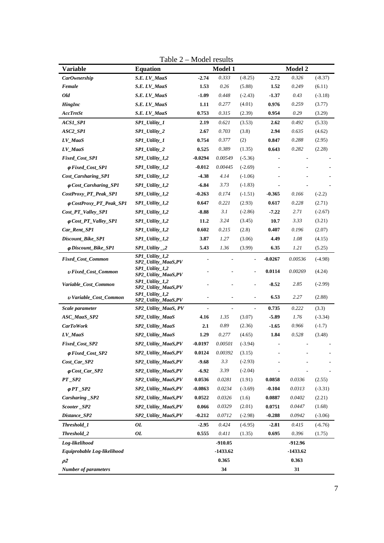| Variable                             | <b>Equation</b>                                    | <b>Model 1</b>           |                |                          | Model 2   |          |           |
|--------------------------------------|----------------------------------------------------|--------------------------|----------------|--------------------------|-----------|----------|-----------|
| CarOwnership                         | S.E. LV_MaaS                                       | $-2.74$                  | 0.333          | $(-8.25)$                | $-2.72$   | 0.326    | $(-8.37)$ |
| Female                               | S.E. LV_MaaS                                       | 1.53                     | 0.26           | (5.88)                   | 1.52      | 0.249    | (6.11)    |
| Old                                  | S.E. LV_MaaS                                       | $-1.09$                  | 0.448          | $(-2.43)$                | $-1.37$   | 0.43     | $(-3.18)$ |
| HingInc                              | S.E. LV_MaaS                                       | 1.11                     | 0.277          | (4.01)                   | 0.976     | 0.259    | (3.77)    |
| <b>AccTrnSt</b>                      | S.E. LV_MaaS                                       | 0.753                    | 0.315          | (2.39)                   | 0.954     | 0.29     | (3.29)    |
| ACS1_SP1                             | SP1_Utility_1                                      | 2.19                     | 0.621          | (3.53)                   | 2.62      | 0.492    | (5.33)    |
| ASC2_SP1                             | SP1_Utility_2                                      | 2.67                     | 0.703          | (3.8)                    | 2.94      | 0.635    | (4.62)    |
| LV_MaaS                              | SP1_Utility_1                                      | 0.754                    | 0.377          | (2)                      | 0.847     | 0.288    | (2.95)    |
| LV_MaaS                              | SP1_Utility_2                                      | 0.525                    | 0.389          | (1.35)                   | 0.643     | 0.282    | (2.28)    |
| Fixed_Cost_SP1                       | $SPI_Utility_1,2$                                  | $-0.0294$                | 0.00549        | $(-5.36)$                |           |          |           |
| $\varphi$ Fixed_Cost_SP1             | $SPI_Utility_1,2$                                  | -0.012                   | 0.00445        | $(-2.69)$                |           |          |           |
| Cost_Carsharing_SP1                  | $SPI_Utility_1,2$                                  | $-4.38$                  | 4.14           | $(-1.06)$                |           |          |           |
| $\varphi$ Cost_Carsharing_SP1        | $SPI_Utility_1,2$                                  | $-6.84$                  | 3.73           | $(-1.83)$                |           |          |           |
| CostProxy_PT_Peak_SP1                | $SPI_Utility_1,2$                                  | $-0.263$                 | 0.174          | $(-1.51)$                | $-0.365$  | 0.166    | $(-2.2)$  |
| <i><b>¢CostProxy_PT_Peak_SP1</b></i> | $SPI_Utility_1,2$                                  | 0.647                    | 0.221          | (2.93)                   | 0.617     | 0.228    | (2.71)    |
| Cost_PT_Valley_SP1                   | $SPI_Utility_1,2$                                  | $-8.88$                  | 3.1            | $(-2.86)$                | $-7.22$   | 2.71     | $(-2.67)$ |
| $\phi$ Cost_PT_Valley_SP1            | $SPI_Utility_1,2$                                  | 11.2                     | 3.24           | (3.45)                   | 10.7      | 3.33     | (3.21)    |
| Car_Rent_SP1                         | $SPI_Utility_1,2$                                  | 0.602                    | 0.215          | (2.8)                    | 0.407     | 0.196    | (2.07)    |
| Discount_Bike_SP1                    | $SPI_Utility_1,2$                                  | 3.87                     | 1.27           | (3.06)                   | 4.49      | 1.08     | (4.15)    |
| <i><b>¢Discount_Bike_SP1</b></i>     | $SPI_Utility \_2$                                  | 5.43                     | 1.36           | (3.99)                   | 6.35      | 1.21     | (5.25)    |
| <b>Fixed_Cost_Common</b>             | $SPI_Utility_1,2$<br>SP2_Utility_MaaS,PV           |                          |                |                          | $-0.0267$ | 0.00536  | $(-4.98)$ |
| v Fixed_Cost_Common                  | $SPI_U$ <i>dility</i> $1,2$<br>SP2_Utility_MaaS,PV |                          |                |                          | 0.0114    | 0.00269  | (4.24)    |
| Variable_Cost_Common                 | $SPI_Utility_1,2$<br>SP2_Utility_MaaS,PV           |                          |                |                          | $-8.52$   | 2.85     | $(-2.99)$ |
| v Variable_Cost_Common               | $SPI_Utility_1,2$<br>SP2_Utility_MaaS,PV           |                          |                | $\blacksquare$           | 6.53      | 2.27     | (2.88)    |
| Scale parameter                      | SP2_Utility_MaaS, PV                               | $\overline{\phantom{a}}$ | $\blacksquare$ | $\overline{\phantom{a}}$ | 0.735     | 0.222    | (3.3)     |
| ASC_MaaS_SP2                         | SP2_Utility_MaaS                                   | 4.16                     | 1.35           | (3.07)                   | $-5.89$   | 1.76     | $(-3.34)$ |
| $\boldsymbol{CarToWork}$             | SP2_Utility_MaaS                                   | 2.1                      | 0.89           | (2.36)                   | $-1.65$   | 0.966    | $(-1.7)$  |
| $LV\_MaaS$                           | SP2_Utility_MaaS                                   | 1.29                     | 0.277          | (4.65)                   | 1.84      | 0.528    | (3.48)    |
| Fixed_Cost_SP2                       | SP2_Utility_MaaS,PV                                | $-0.0197$                | 0.00501        | $(-3.94)$                |           |          |           |
| $\varphi$ Fixed_Cost_SP2             | SP2_Utility_MaaS,PV                                | 0.0124                   | 0.00392        | (3.15)                   |           |          |           |
| $Cost_Car_SP2$                       | SP2_Utility_MaaS,PV                                | $-9.68$                  | 3.3            | $(-2.93)$                |           |          |           |
| $\varphi$ Cost_Car_SP2               | SP2_Utility_MaaS,PV                                | $-6.92$                  | 3.39           | $(-2.04)$                |           |          |           |
| $PT\_SP2$                            | SP2_Utility_MaaS,PV                                | 0.0536                   | 0.0281         | (1.91)                   | 0.0858    | 0.0336   | (2.55)    |
|                                      | SP2_Utility_MaaS,PV                                | $-0.0863$                | 0.0234         | $(-3.69)$                | $-0.104$  | 0.0313   | $(-3.31)$ |
| Carsharing _SP2                      | SP2_Utility_MaaS,PV                                | 0.0522                   | 0.0326         | (1.6)                    | 0.0887    | 0.0402   | (2.21)    |
| Scooter_SP2                          | SP2_Utility_MaaS,PV                                | 0.066                    | 0.0329         | (2.01)                   | 0.0751    | 0.0447   | (1.68)    |
| Distance_SP2                         | SP2_Utility_MaaS,PV                                | $-0.212$                 | 0.0712         | $(-2.98)$                | $-0.288$  | 0.0942   | $(-3.06)$ |
| Threshold_1                          | OL                                                 | $-2.95$                  | 0.424          | $(-6.95)$                | $-2.81$   | 0.415    | $(-6.76)$ |
| Threshold_2                          | OL                                                 | 0.555                    | 0.411          | (1.35)                   | 0.695     | 0.396    | (1.75)    |
| Log-likelihood                       |                                                    |                          | -910.05        |                          |           | -912.96  |           |
| Equiprobable Log-likelihood          |                                                    |                          | $-1433.62$     |                          |           | -1433.62 |           |
| $\rho$ 2                             |                                                    |                          | 0.365          |                          |           | 0.363    |           |
| <b>Number of parameters</b>          |                                                    |                          | 34             |                          |           | 31       |           |

Table 2 – Model results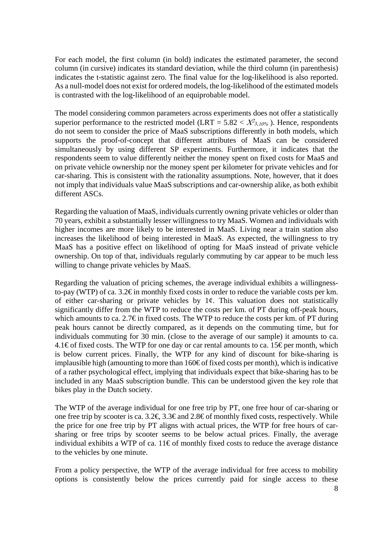For each model, the first column (in bold) indicates the estimated parameter, the second column (in cursive) indicates its standard deviation, while the third column (in parenthesis) indicates the t-statistic against zero. The final value for the log-likelihood is also reported. As a null-model does not exist for ordered models, the log-likelihood of the estimated models is contrasted with the log-likelihood of an equiprobable model.

The model considering common parameters across experiments does not offer a statistically superior performance to the restricted model (LRT =  $5.82 < X^2$ <sub>3,10%</sub>). Hence, respondents do not seem to consider the price of MaaS subscriptions differently in both models, which supports the proof-of-concept that different attributes of MaaS can be considered simultaneously by using different SP experiments. Furthermore, it indicates that the respondents seem to value differently neither the money spent on fixed costs for MaaS and on private vehicle ownership nor the money spent per kilometer for private vehicles and for car-sharing. This is consistent with the rationality assumptions. Note, however, that it does not imply that individuals value MaaS subscriptions and car-ownership alike, as both exhibit different ASCs.

Regarding the valuation of MaaS, individuals currently owning private vehicles or older than 70 years, exhibit a substantially lesser willingness to try MaaS. Women and individuals with higher incomes are more likely to be interested in MaaS. Living near a train station also increases the likelihood of being interested in MaaS. As expected, the willingness to try MaaS has a positive effect on likelihood of opting for MaaS instead of private vehicle ownership. On top of that, individuals regularly commuting by car appear to be much less willing to change private vehicles by MaaS.

Regarding the valuation of pricing schemes, the average individual exhibits a willingnessto-pay (WTP) of ca. 3.2 $\epsilon$  in monthly fixed costs in order to reduce the variable costs per km. of either car-sharing or private vehicles by  $1¢$ . This valuation does not statistically significantly differ from the WTP to reduce the costs per km. of PT during off-peak hours, which amounts to ca. 2.7€ in fixed costs. The WTP to reduce the costs per km. of PT during peak hours cannot be directly compared, as it depends on the commuting time, but for individuals commuting for 30 min. (close to the average of our sample) it amounts to ca. 4.1€ of fixed costs. The WTP for one day or car rental amounts to ca. 15 € per month, which is below current prices. Finally, the WTP for any kind of discount for bike-sharing is implausible high (amounting to more than  $160\text{€}$  of fixed costs per month), which is indicative of a rather psychological effect, implying that individuals expect that bike-sharing has to be included in any MaaS subscription bundle. This can be understood given the key role that bikes play in the Dutch society.

The WTP of the average individual for one free trip by PT, one free hour of car-sharing or one free trip by scooter is ca. 3.2€, 3.3€ and 2.8€ of monthly fixed costs, respectively. While the price for one free trip by PT aligns with actual prices, the WTP for free hours of carsharing or free trips by scooter seems to be below actual prices. Finally, the average individual exhibits a WTP of ca. 11€ of monthly fixed costs to reduce the average distance to the vehicles by one minute.

From a policy perspective, the WTP of the average individual for free access to mobility options is consistently below the prices currently paid for single access to these